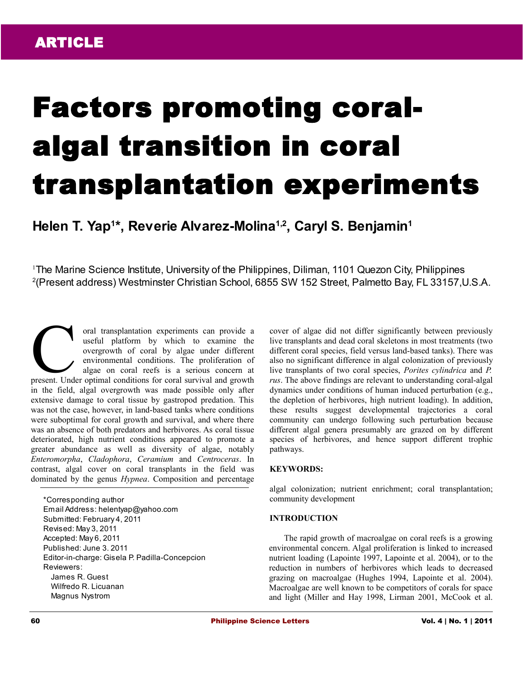# Factors promoting coralalgal transition in coral transplantation experiments

# **Helen T. Yap<sup>1</sup> \*, Reverie Alvarez-Molina1,2, Caryl S. Benjamin<sup>1</sup>**

<sup>1</sup>The Marine Science Institute, University of the Philippines, Diliman, 1101 Quezon City, Philippines 2 (Present address) Westminster Christian School, 6855 SW 152 Street, Palmetto Bay, FL 33157,U.S.A.

oral transplantation experiments can provide a useful platform by which to examine the overgrowth of coral by algae under different environmental conditions. The proliferation of algae on coral reefs is a serious concern at oral transplantation experiments can provide a<br>useful platform by which to examine the<br>overgrowth of coral by algae under different<br>environmental conditions. The proliferation of<br>algae on coral reefs is a serious concern a in the field, algal overgrowth was made possible only after extensive damage to coral tissue by gastropod predation. This was not the case, however, in land-based tanks where conditions were suboptimal for coral growth and survival, and where there was an absence of both predators and herbivores. As coral tissue deteriorated, high nutrient conditions appeared to promote a greater abundance as well as diversity of algae, notably *Enteromorpha*, *Cladophora*, *Ceramium* and *Centroceras*. In contrast, algal cover on coral transplants in the field was dominated by the genus *Hypnea*. Composition and percentage

\*Corresponding author Email Address: helentyap@yahoo.com Submitted: February 4, 2011 Revised: May 3, 2011 Accepted: May 6, 2011 Published: June 3. 2011 Editor-in-charge: Gisela P. Padilla-Concepcion Reviewers: James R. Guest Wilfredo R. Licuanan Magnus Nystrom

cover of algae did not differ significantly between previously live transplants and dead coral skeletons in most treatments (two different coral species, field versus land-based tanks). There was also no significant difference in algal colonization of previously live transplants of two coral species, *Porites cylindrica* and *P. rus*. The above findings are relevant to understanding coral-algal dynamics under conditions of human induced perturbation (e.g., the depletion of herbivores, high nutrient loading). In addition, these results suggest developmental trajectories a coral community can undergo following such perturbation because different algal genera presumably are grazed on by different species of herbivores, and hence support different trophic pathways.

#### **KEYWORDS:**

algal colonization; nutrient enrichment; coral transplantation; community development

#### **INTRODUCTION**

The rapid growth of macroalgae on coral reefs is a growing environmental concern. Algal proliferation is linked to increased nutrient loading (Lapointe 1997, Lapointe et al. 2004), or to the reduction in numbers of herbivores which leads to decreased grazing on macroalgae (Hughes 1994, Lapointe et al. 2004). Macroalgae are well known to be competitors of corals for space and light (Miller and Hay 1998, Lirman 2001, McCook et al.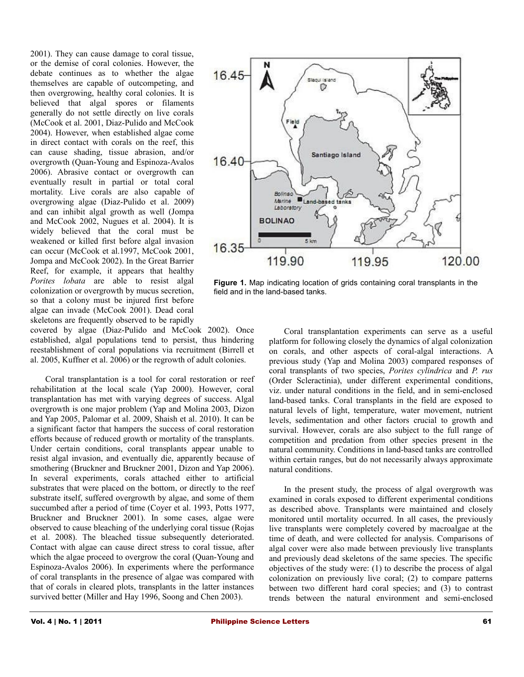2001). They can cause damage to coral tissue, or the demise of coral colonies. However, the debate continues as to whether the algae themselves are capable of outcompeting, and then overgrowing, healthy coral colonies. It is believed that algal spores or filaments generally do not settle directly on live corals (McCook et al. 2001, Diaz-Pulido and McCook 2004). However, when established algae come in direct contact with corals on the reef, this can cause shading, tissue abrasion, and/or overgrowth (Quan-Young and Espinoza-Avalos 2006). Abrasive contact or overgrowth can eventually result in partial or total coral mortality. Live corals are also capable of overgrowing algae (Diaz-Pulido et al. 2009) and can inhibit algal growth as well (Jompa and McCook 2002, Nugues et al. 2004). It is widely believed that the coral must be weakened or killed first before algal invasion can occur (McCook et al.1997, McCook 2001, Jompa and McCook 2002). In the Great Barrier Reef, for example, it appears that healthy *Porites lobata* are able to resist algal colonization or overgrowth by mucus secretion, so that a colony must be injured first before algae can invade (McCook 2001). Dead coral skeletons are frequently observed to be rapidly

covered by algae (Diaz-Pulido and McCook 2002). Once established, algal populations tend to persist, thus hindering reestablishment of coral populations via recruitment (Birrell et al. 2005, Kuffner et al. 2006) or the regrowth of adult colonies.

Coral transplantation is a tool for coral restoration or reef rehabilitation at the local scale (Yap 2000). However, coral transplantation has met with varying degrees of success. Algal overgrowth is one major problem (Yap and Molina 2003, Dizon and Yap 2005, Palomar et al. 2009, Shaish et al. 2010). It can be a significant factor that hampers the success of coral restoration efforts because of reduced growth or mortality of the transplants. Under certain conditions, coral transplants appear unable to resist algal invasion, and eventually die, apparently because of smothering (Bruckner and Bruckner 2001, Dizon and Yap 2006). In several experiments, corals attached either to artificial substrates that were placed on the bottom, or directly to the reef substrate itself, suffered overgrowth by algae, and some of them succumbed after a period of time (Coyer et al. 1993, Potts 1977, Bruckner and Bruckner 2001). In some cases, algae were observed to cause bleaching of the underlying coral tissue (Rojas et al. 2008). The bleached tissue subsequently deteriorated. Contact with algae can cause direct stress to coral tissue, after which the algae proceed to overgrow the coral (Quan-Young and Espinoza-Avalos 2006). In experiments where the performance of coral transplants in the presence of algae was compared with that of corals in cleared plots, transplants in the latter instances survived better (Miller and Hay 1996, Soong and Chen 2003).



**Figure 1.** Map indicating location of grids containing coral transplants in the field and in the land-based tanks.

Coral transplantation experiments can serve as a useful platform for following closely the dynamics of algal colonization on corals, and other aspects of coral-algal interactions. A previous study (Yap and Molina 2003) compared responses of coral transplants of two species, *Porites cylindrica* and *P. rus* (Order Scleractinia), under different experimental conditions, viz. under natural conditions in the field, and in semi-enclosed land-based tanks. Coral transplants in the field are exposed to natural levels of light, temperature, water movement, nutrient levels, sedimentation and other factors crucial to growth and survival. However, corals are also subject to the full range of competition and predation from other species present in the natural community. Conditions in land-based tanks are controlled within certain ranges, but do not necessarily always approximate natural conditions.

In the present study, the process of algal overgrowth was examined in corals exposed to different experimental conditions as described above. Transplants were maintained and closely monitored until mortality occurred. In all cases, the previously live transplants were completely covered by macroalgae at the time of death, and were collected for analysis. Comparisons of algal cover were also made between previously live transplants and previously dead skeletons of the same species. The specific objectives of the study were: (1) to describe the process of algal colonization on previously live coral; (2) to compare patterns between two different hard coral species; and (3) to contrast trends between the natural environment and semi-enclosed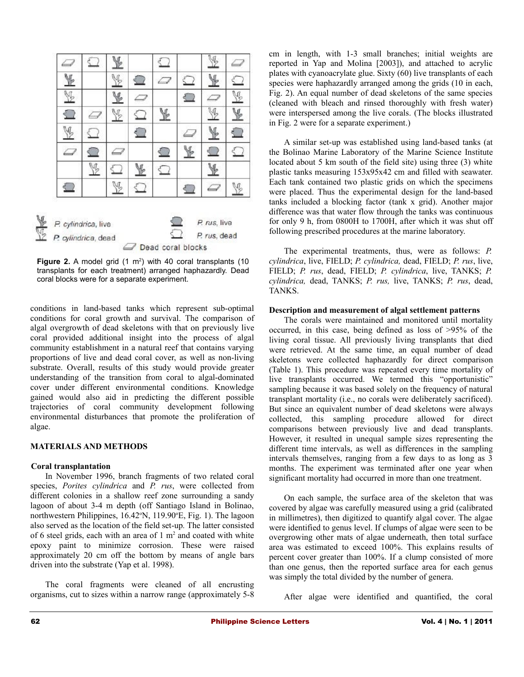

**Figure 2.** A model grid  $(1 \text{ m}^2)$  with 40 coral transplants  $(10 \text{ m}^2)$ transplants for each treatment) arranged haphazardly. Dead coral blocks were for a separate experiment.

conditions in land-based tanks which represent sub-optimal conditions for coral growth and survival. The comparison of algal overgrowth of dead skeletons with that on previously live coral provided additional insight into the process of algal community establishment in a natural reef that contains varying proportions of live and dead coral cover, as well as non-living substrate. Overall, results of this study would provide greater understanding of the transition from coral to algal-dominated cover under different environmental conditions. Knowledge gained would also aid in predicting the different possible trajectories of coral community development following environmental disturbances that promote the proliferation of algae.

# **MATERIALS AND METHODS**

#### **Coral transplantation**

In November 1996, branch fragments of two related coral species, *Porites cylindrica* and *P. rus*, were collected from different colonies in a shallow reef zone surrounding a sandy lagoon of about 3-4 m depth (off Santiago Island in Bolinao, northwestern Philippines,  $16.42^{\circ}$ N,  $119.90^{\circ}$ E, Fig. 1). The lagoon also served as the location of the field set-up*.* The latter consisted of 6 steel grids, each with an area of  $1 \text{ m}^2$  and coated with white epoxy paint to minimize corrosion. These were raised approximately 20 cm off the bottom by means of angle bars driven into the substrate (Yap et al. 1998).

The coral fragments were cleaned of all encrusting organisms, cut to sizes within a narrow range (approximately 5-8 cm in length, with 1-3 small branches; initial weights are reported in Yap and Molina [2003]), and attached to acrylic plates with cyanoacrylate glue. Sixty (60) live transplants of each species were haphazardly arranged among the grids (10 in each, Fig. 2). An equal number of dead skeletons of the same species (cleaned with bleach and rinsed thoroughly with fresh water) were interspersed among the live corals. (The blocks illustrated in Fig. 2 were for a separate experiment.)

A similar set-up was established using land-based tanks (at the Bolinao Marine Laboratory of the Marine Science Institute located about 5 km south of the field site) using three (3) white plastic tanks measuring 153x95x42 cm and filled with seawater. Each tank contained two plastic grids on which the specimens were placed. Thus the experimental design for the land-based tanks included a blocking factor (tank x grid). Another major difference was that water flow through the tanks was continuous for only 9 h, from 0800H to 1700H, after which it was shut off following prescribed procedures at the marine laboratory.

The experimental treatments, thus, were as follows: *P. cylindrica*, live, FIELD; *P. cylindrica,* dead, FIELD; *P. rus*, live, FIELD; *P. rus*, dead, FIELD; *P. cylindrica*, live, TANKS; *P. cylindrica,* dead, TANKS; *P. rus,* live, TANKS; *P. rus*, dead, TANKS.

#### **Description and measurement of algal settlement patterns**

The corals were maintained and monitored until mortality occurred, in this case, being defined as loss of >95% of the living coral tissue. All previously living transplants that died were retrieved. At the same time, an equal number of dead skeletons were collected haphazardly for direct comparison (Table 1). This procedure was repeated every time mortality of live transplants occurred. We termed this "opportunistic" sampling because it was based solely on the frequency of natural transplant mortality (i.e., no corals were deliberately sacrificed). But since an equivalent number of dead skeletons were always collected, this sampling procedure allowed for direct comparisons between previously live and dead transplants. However, it resulted in unequal sample sizes representing the different time intervals, as well as differences in the sampling intervals themselves, ranging from a few days to as long as 3 months. The experiment was terminated after one year when significant mortality had occurred in more than one treatment.

On each sample, the surface area of the skeleton that was covered by algae was carefully measured using a grid (calibrated in millimetres), then digitized to quantify algal cover. The algae were identified to genus level. If clumps of algae were seen to be overgrowing other mats of algae underneath, then total surface area was estimated to exceed 100%. This explains results of percent cover greater than 100%. If a clump consisted of more than one genus, then the reported surface area for each genus was simply the total divided by the number of genera.

After algae were identified and quantified, the coral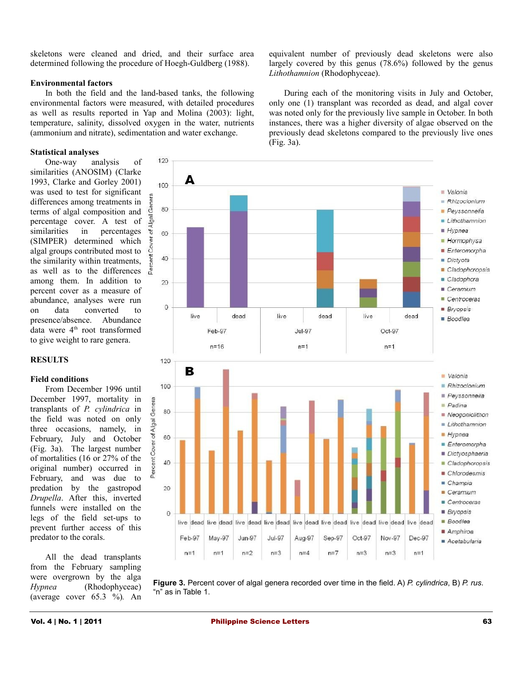skeletons were cleaned and dried, and their surface area determined following the procedure of Hoegh-Guldberg (1988).

#### **Environmental factors**

In both the field and the land-based tanks, the following environmental factors were measured, with detailed procedures as well as results reported in Yap and Molina (2003): light, temperature, salinity, dissolved oxygen in the water, nutrients (ammonium and nitrate), sedimentation and water exchange.

# **Statistical analyses**

One-way analysis of similarities (ANOSIM) (Clarke 1993, Clarke and Gorley 2001) was used to test for significant differences among treatments in terms of algal composition and percentage cover. A test of similarities in percentages (SIMPER) determined which algal groups contributed most to the similarity within treatments, as well as to the differences a among them. In addition to percent cover as a measure of abundance, analyses were run on data converted to presence/absence. Abundance data were  $4<sup>th</sup>$  root transformed to give weight to rare genera.



# **Field conditions**

From December 1996 until December 1997, mortality in transplants of *P. cylindrica* in the field was noted on only three occasions, namely, in February, July and October (Fig. 3a). The largest number of mortalities (16 or 27% of the original number) occurred in February, and was due to predation by the gastropod *Drupella*. After this, inverted funnels were installed on the legs of the field set-ups to prevent further access of this predator to the corals.

All the dead transplants from the February sampling were overgrown by the alga *Hypnea* (Rhodophyceae) (average cover 65.3 %)*.* An

equivalent number of previously dead skeletons were also largely covered by this genus (78.6%) followed by the genus *Lithothamnion* (Rhodophyceae).

During each of the monitoring visits in July and October, only one (1) transplant was recorded as dead, and algal cover was noted only for the previously live sample in October. In both instances, there was a higher diversity of algae observed on the previously dead skeletons compared to the previously live ones (Fig. 3a).



**Figure 3.** Percent cover of algal genera recorded over time in the field. A) *P. cylindrica*, B) *P. rus*. "n" as in Table 1.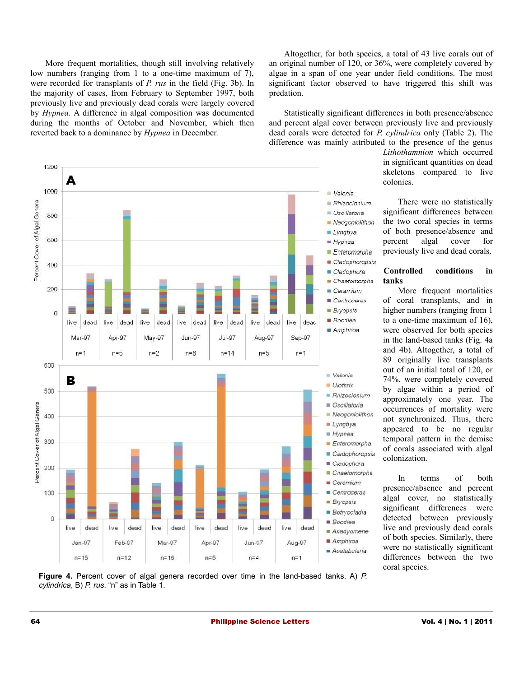More frequent mortalities, though still involving relatively low numbers (ranging from 1 to a one-time maximum of 7), were recorded for transplants of *P. rus* in the field (Fig. 3b). In the majority of cases, from February to September 1997, both previously live and previously dead corals were largely covered by *Hypnea.* A difference in algal composition was documented during the months of October and November, which then reverted back to a dominance by *Hypnea* in December.

1200 A 1000 Valonia Percent Cover of Algal Genera Rhizoclonium Oscillatoria 800 Neogoniolithon  $Lyngbya$ 600  $Hypnea$  $Enteromorpha$ Cladophoropsis 400 Cladophora Chaetomorpha 200  $Ceramium$ Centroceras **Bryopsis**  $\Omega$ **Boodlea** live live dead dead live dead live dead dead live live dead live dead Amphiroa Mar-97 Apr-97 May-97 **Jun-97**  $Jul-97$ Aug-97 Sep-97  $n=8$  $n=1$  $n=5$  $n=2$  $n = 14$  $n=5$  $n=1$ 600  $Valonia$ в  $U$ lothrix 500 Rhizoclonium Oscillatoria Percent Cover of Algal Genera Neogoniolithon 400  $Lyngbya$  $Hypnea$ 300 **Enteromorpha** Cladophoropsis Cladophora 200 Chaetomorpha  $Ceramium$ 100  $\blacksquare$  Centroceras **Bryopsis** Botryocladia  $\mathbf 0$  $\blacksquare$  Boodlea dead dead dead live dead live live dead live live live dead Anadyomene Amphiroa Feb-97 Mar-97 Jun-97 Jan-97 Apr-97 Aug-97 Acetabularia  $n = 15$  $n=5$  $n=4$  $n = 12$  $n = 16$  $n=1$ 

Altogether, for both species, a total of 43 live corals out of an original number of 120, or 36%, were completely covered by algae in a span of one year under field conditions. The most significant factor observed to have triggered this shift was predation.

Statistically significant differences in both presence/absence and percent algal cover between previously live and previously dead corals were detected for *P. cylindrica* only (Table 2). The difference was mainly attributed to the presence of the genus

> *Lithothamnion* which occurred in significant quantities on dead skeletons compared to live colonies.

> There were no statistically significant differences between the two coral species in terms of both presence/absence and percent algal cover for previously live and dead corals.

#### **Controlled conditions in tanks**

More frequent mortalities of coral transplants, and in higher numbers (ranging from 1 to a one-time maximum of 16), were observed for both species in the land-based tanks (Fig. 4a and 4b). Altogether, a total of 89 originally live transplants out of an initial total of 120, or 74%, were completely covered by algae within a period of approximately one year. The occurrences of mortality were not synchronized. Thus, there appeared to be no regular temporal pattern in the demise of corals associated with algal colonization.

In terms of both presence/absence and percent algal cover, no statistically significant differences were detected between previously live and previously dead corals of both species. Similarly, there were no statistically significant differences between the two coral species.

**Figure 4.** Percent cover of algal genera recorded over time in the land-based tanks. A) *P. cylindrica*, B) *P. rus*. "n" as in Table 1.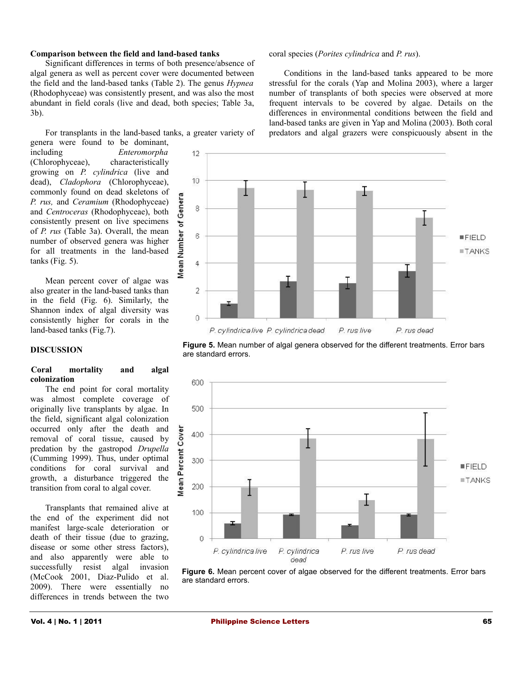#### **Comparison between the field and land-based tanks**

Significant differences in terms of both presence/absence of algal genera as well as percent cover were documented between the field and the land-based tanks (Table 2). The genus *Hypnea* (Rhodophyceae) was consistently present, and was also the most abundant in field corals (live and dead, both species; Table 3a, 3b).

For transplants in the land-based tanks, a greater variety of genera were found to be dominant,

including *Enteromorpha* (Chlorophyceae), characteristically growing on *P. cylindrica* (live and dead), *Cladophora* (Chlorophyceae), commonly found on dead skeletons of *P. rus,* and *Ceramium* (Rhodophyceae) and *Centroceras* (Rhodophyceae), both consistently present on live specimens of *P. rus* (Table 3a). Overall, the mean number of observed genera was higher for all treatments in the land-based tanks (Fig. 5).

Mean percent cover of algae was also greater in the land-based tanks than in the field (Fig. 6). Similarly, the Shannon index of algal diversity was consistently higher for corals in the land-based tanks (Fig.7).

#### **DISCUSSION**

#### **Coral mortality and algal colonization**

The end point for coral mortality was almost complete coverage of originally live transplants by algae. In the field, significant algal colonization occurred only after the death and removal of coral tissue, caused by predation by the gastropod *Drupella* (Cumming 1999). Thus, under optimal conditions for coral survival and growth, a disturbance triggered the transition from coral to algal cover.

Transplants that remained alive at the end of the experiment did not manifest large-scale deterioration or death of their tissue (due to grazing, disease or some other stress factors), and also apparently were able to successfully resist algal invasion (McCook 2001, Diaz-Pulido et al. 2009). There were essentially no differences in trends between the two

#### coral species (*Porites cylindrica* and *P. rus*).

Conditions in the land-based tanks appeared to be more stressful for the corals (Yap and Molina 2003), where a larger number of transplants of both species were observed at more frequent intervals to be covered by algae. Details on the differences in environmental conditions between the field and land-based tanks are given in Yap and Molina (2003). Both coral predators and algal grazers were conspicuously absent in the



**Figure 5.** Mean number of algal genera observed for the different treatments. Error bars are standard errors.



**Figure 6.** Mean percent cover of algae observed for the different treatments. Error bars are standard errors.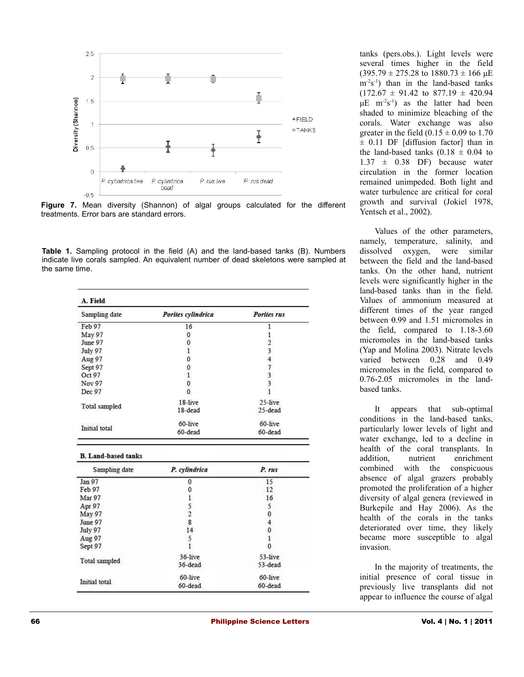



**Table 1.** Sampling protocol in the field (A) and the land-based tanks (B). Numbers indicate live corals sampled. An equivalent number of dead skeletons were sampled at the same time.

| A. Field                                                                                                                                                                |                                            |                             |  |  |  |  |  |
|-------------------------------------------------------------------------------------------------------------------------------------------------------------------------|--------------------------------------------|-----------------------------|--|--|--|--|--|
| Sampling date                                                                                                                                                           | Porites cylindrica                         | Porites rus<br>$\mathbf{1}$ |  |  |  |  |  |
| Feb 97                                                                                                                                                                  | 16                                         |                             |  |  |  |  |  |
| May 97                                                                                                                                                                  | 0                                          | 1                           |  |  |  |  |  |
| June 97                                                                                                                                                                 | 0                                          | $\overline{2}$              |  |  |  |  |  |
| July 97                                                                                                                                                                 | 1                                          | 3                           |  |  |  |  |  |
| Aug 97                                                                                                                                                                  | 0                                          | $\overline{4}$              |  |  |  |  |  |
| Sept 97                                                                                                                                                                 | 0                                          | $\boldsymbol{7}$            |  |  |  |  |  |
| Oct 97                                                                                                                                                                  | 1                                          | 3                           |  |  |  |  |  |
| Nov 97                                                                                                                                                                  | 0                                          | 3                           |  |  |  |  |  |
| Dec 97                                                                                                                                                                  | $\Omega$                                   | 1                           |  |  |  |  |  |
| Total sampled                                                                                                                                                           | 18-live                                    | 25-live                     |  |  |  |  |  |
|                                                                                                                                                                         | 18-dead                                    | 25-dead                     |  |  |  |  |  |
|                                                                                                                                                                         | 60-live                                    | 60-live                     |  |  |  |  |  |
| Initial total                                                                                                                                                           |                                            |                             |  |  |  |  |  |
|                                                                                                                                                                         | 60-dead                                    | 60-dead                     |  |  |  |  |  |
| Sampling date                                                                                                                                                           | P. cylindrica                              | P. rus                      |  |  |  |  |  |
|                                                                                                                                                                         | 0                                          | 15                          |  |  |  |  |  |
|                                                                                                                                                                         | 0                                          | 12                          |  |  |  |  |  |
|                                                                                                                                                                         | 1                                          | 16                          |  |  |  |  |  |
|                                                                                                                                                                         |                                            | 5                           |  |  |  |  |  |
|                                                                                                                                                                         |                                            | 0                           |  |  |  |  |  |
|                                                                                                                                                                         | $\begin{array}{c} 5 \\ 2 \\ 8 \end{array}$ |                             |  |  |  |  |  |
|                                                                                                                                                                         | 14                                         | 4<br>0                      |  |  |  |  |  |
|                                                                                                                                                                         | 5                                          | $\mathbf{1}$                |  |  |  |  |  |
|                                                                                                                                                                         | $\mathbf{1}$                               | $\mathbf{0}$                |  |  |  |  |  |
|                                                                                                                                                                         | 36-live                                    | 53-live                     |  |  |  |  |  |
|                                                                                                                                                                         | 36-dead                                    | 53-dead                     |  |  |  |  |  |
| <b>B. Land-based tanks</b><br>Jan 97<br>Feb 97<br><b>Mar 97</b><br>Apr 97<br><b>May 97</b><br>June 97<br>July 97<br>Aug 97<br>Sept 97<br>Total sampled<br>Initial total | 60-live                                    | 60-live                     |  |  |  |  |  |

tanks (pers.obs.). Light levels were several times higher in the field  $(395.79 \pm 275.28 \text{ to } 1880.73 \pm 166 \text{ }\mu\text{E})$  $m<sup>-2</sup>s<sup>-1</sup>$ ) than in the land-based tanks  $(172.67 \pm 91.42 \text{ to } 877.19 \pm 420.94$  $\mu$ E m<sup>-2</sup>s<sup>-1</sup>) as the latter had been shaded to minimize bleaching of the corals. Water exchange was also greater in the field  $(0.15 \pm 0.09)$  to 1.70  $\pm$  0.11 DF [diffusion factor] than in the land-based tanks  $(0.18 \pm 0.04)$  to  $1.37 \pm 0.38$  DF) because water circulation in the former location remained unimpeded. Both light and water turbulence are critical for coral growth and survival (Jokiel 1978, Yentsch et al., 2002).

Values of the other parameters, namely, temperature, salinity, and dissolved oxygen, were similar between the field and the land-based tanks. On the other hand, nutrient levels were significantly higher in the land-based tanks than in the field. Values of ammonium measured at different times of the year ranged between 0.99 and 1.51 micromoles in the field, compared to 1.18-3.60 micromoles in the land-based tanks (Yap and Molina 2003). Nitrate levels varied between 0.28 and 0.49 micromoles in the field, compared to 0.76-2.05 micromoles in the landbased tanks.

It appears that sub-optimal conditions in the land-based tanks, particularly lower levels of light and water exchange, led to a decline in health of the coral transplants. In addition, nutrient enrichment combined with the conspicuous absence of algal grazers probably promoted the proliferation of a higher diversity of algal genera (reviewed in Burkepile and Hay 2006). As the health of the corals in the tanks deteriorated over time, they likely became more susceptible to algal invasion.

In the majority of treatments, the initial presence of coral tissue in previously live transplants did not appear to influence the course of algal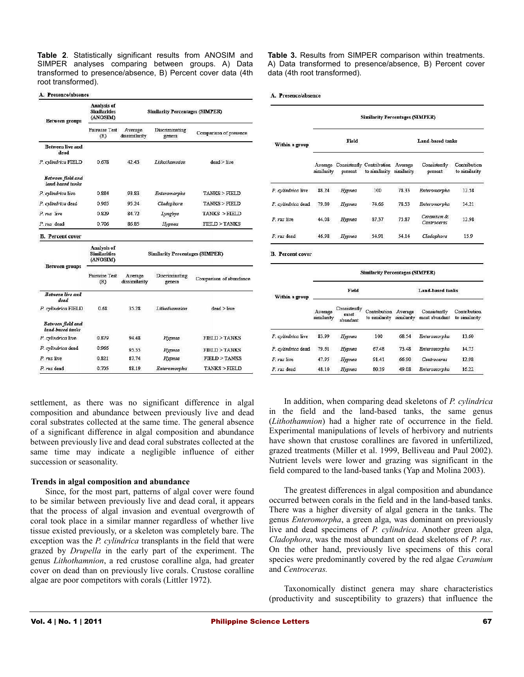**Table 2**. Statistically significant results from ANOSIM and SIMPER analyses comparing between groups. A) Data transformed to presence/absence, B) Percent cover data (4th root transformed).

#### A. Presence/absence

| Between groups                        | <b>Analysis of</b><br><b>Similarities</b><br>(ANOSIM) | <b>Similarity Percentages (SIMPER)</b> |                          |                         |  |  |
|---------------------------------------|-------------------------------------------------------|----------------------------------------|--------------------------|-------------------------|--|--|
|                                       | Pairwise Test<br>(R)                                  | Average<br>dissimilarity               | Discriminating<br>genera | Comparison of presence  |  |  |
| <b>Between live and</b><br>dead       |                                                       |                                        |                          |                         |  |  |
| P. cylindrica FIELD                   | 0.678                                                 | 42.43                                  | Lithothamnion            | dead > live             |  |  |
| Between field and<br>land-based tanks |                                                       |                                        |                          |                         |  |  |
| P. cylindrica live                    | 0.884                                                 | 93.83                                  | Enteromorpha             | TANKS > FIELD           |  |  |
| P. cylindrica dead                    | 0.965                                                 | 95.24                                  | Cladophora               | TANKS > FIELD           |  |  |
| P. rus live                           | 0.829                                                 | R4 72                                  | Lyngbya                  | TANKS > FIELD           |  |  |
| P. rus dead                           | 0.706                                                 | 86.85                                  | Hypnea                   | <b>FIELD &gt; TANKS</b> |  |  |
| <b>B.</b> Percent cover               | Analysis of<br><b>Similarities</b><br>(ANOSIM)        | <b>Similarity Percentages (SIMPER)</b> |                          |                         |  |  |
| Between groups                        | <b>Pairwise Test</b><br>(R)                           | Average<br>dissimilarity               | Discriminating<br>genera | Comparison of abundance |  |  |
| Between live and<br>dead              |                                                       |                                        |                          |                         |  |  |
| P. cylindrica FIELD                   | 0.68                                                  | 35.28                                  | Lithothamnion            | dead > live             |  |  |
| Between field and<br>land-based tanks |                                                       |                                        |                          |                         |  |  |
| P. cylindrica live                    | 0.879                                                 | 9448                                   | Hypnea                   | <b>FIELD &gt; TANKS</b> |  |  |
| P. cylindrica dead                    | 0.966                                                 | 95.55                                  | Hypnea                   | <b>FIELD &gt; TANKS</b> |  |  |
| P. rus live                           | 0.821                                                 | 87.74                                  | Hypnea                   | <b>FIELD &gt; TANKS</b> |  |  |
| P. rus dead                           | 0.705                                                 | 88 19                                  | Enteromorpha             | <b>TANKS &gt; FIELD</b> |  |  |

settlement, as there was no significant difference in algal composition and abundance between previously live and dead coral substrates collected at the same time. The general absence of a significant difference in algal composition and abundance between previously live and dead coral substrates collected at the same time may indicate a negligible influence of either succession or seasonality.

#### **Trends in algal composition and abundance**

Since, for the most part, patterns of algal cover were found to be similar between previously live and dead coral, it appears that the process of algal invasion and eventual overgrowth of coral took place in a similar manner regardless of whether live tissue existed previously, or a skeleton was completely bare. The exception was the *P. cylindrica* transplants in the field that were grazed by *Drupella* in the early part of the experiment. The genus *Lithothamnion*, a red crustose coralline alga, had greater cover on dead than on previously live corals. Crustose coralline algae are poor competitors with corals (Littler 1972).

**Table 3.** Results from SIMPER comparison within treatments. A) Data transformed to presence/absence, B) Percent cover data (4th root transformed).

#### A. Presence/absence

|                                          | <b>Similarity Percentages (SIMPER)</b> |                                   |                                                                       |                         |                               |                               |  |  |
|------------------------------------------|----------------------------------------|-----------------------------------|-----------------------------------------------------------------------|-------------------------|-------------------------------|-------------------------------|--|--|
| Within a group                           | Field                                  |                                   |                                                                       | Land-based tanks        |                               |                               |  |  |
|                                          | similarity                             | present                           | Average Consistently Contribution Average<br>to similarity similarity |                         | Consistently<br>present       | Contribution<br>to similarity |  |  |
| P. cylindrica live                       | 88.24                                  | Hypnea                            | 100                                                                   | 78.33                   | Enteromorpha                  | 12.58                         |  |  |
| P. cylindrica dead                       | 79.80                                  | Нурпеа                            | 74.66                                                                 | 78.53                   | Enteromorpha                  | 14.21                         |  |  |
| P. rus live                              | 44.08                                  | Hypnea                            | 87.37                                                                 | 75.87                   | Ceramium &<br>Centroceras     | 12.98                         |  |  |
| $P$ rus dead                             | 46.98                                  | Hypnea                            | 54.91                                                                 | 54.14                   | Cladophora                    | 15.9                          |  |  |
| <b>B.</b> Percent cover                  |                                        |                                   | <b>Similarity Percentages (SIMPER)</b>                                |                         |                               |                               |  |  |
| Within a group                           | Field                                  |                                   |                                                                       | <b>Land-based tanks</b> |                               |                               |  |  |
|                                          |                                        |                                   |                                                                       |                         |                               |                               |  |  |
|                                          | Average<br>similarity                  | Consistently<br>most<br>abundant. | Contribution Average<br>to similarity                                 | similarity              | Consistently<br>most abundant | Contribution<br>to similarity |  |  |
|                                          | 83.99                                  | Hypnea                            | 100                                                                   | 68.54                   | Enteromorpha                  | 13.60                         |  |  |
| P. cylindrica live<br>P. cylindrica dead | 79.61                                  | Hypnea                            | 67.48                                                                 | 73.48                   | Enteromorpha                  | 14.75                         |  |  |
| P. rus live                              | 47.95                                  | Hypnea                            | 91 41                                                                 | 66.90                   | Centroceras                   | 12.98                         |  |  |

In addition, when comparing dead skeletons of *P. cylindrica* in the field and the land-based tanks, the same genus (*Lithothamnion*) had a higher rate of occurrence in the field. Experimental manipulations of levels of herbivory and nutrients have shown that crustose corallines are favored in unfertilized, grazed treatments (Miller et al. 1999, Belliveau and Paul 2002). Nutrient levels were lower and grazing was significant in the field compared to the land-based tanks (Yap and Molina 2003).

The greatest differences in algal composition and abundance occurred between corals in the field and in the land-based tanks. There was a higher diversity of algal genera in the tanks. The genus *Enteromorpha*, a green alga, was dominant on previously live and dead specimens of *P. cylindrica*. Another green alga, *Cladophora*, was the most abundant on dead skeletons of *P. rus*. On the other hand, previously live specimens of this coral species were predominantly covered by the red algae *Ceramium* and *Centroceras.*

Taxonomically distinct genera may share characteristics (productivity and susceptibility to grazers) that influence the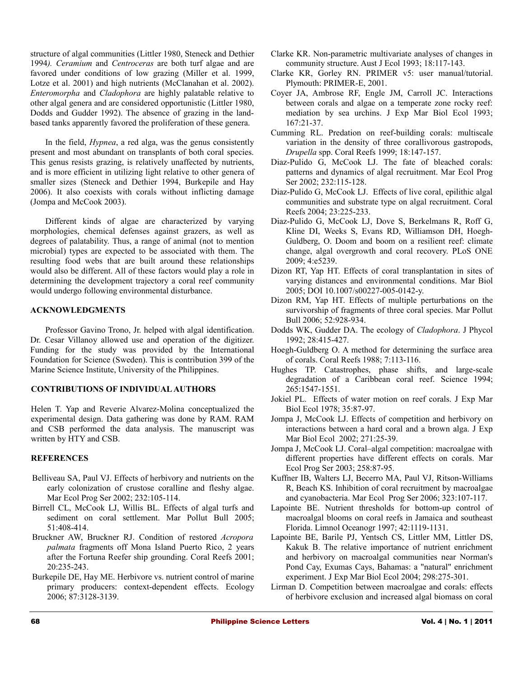structure of algal communities (Littler 1980, Steneck and Dethier 1994*). Ceramium* and *Centroceras* are both turf algae and are favored under conditions of low grazing (Miller et al. 1999, Lotze et al. 2001) and high nutrients (McClanahan et al. 2002). *Enteromorpha* and *Cladophora* are highly palatable relative to other algal genera and are considered opportunistic (Littler 1980, Dodds and Gudder 1992). The absence of grazing in the landbased tanks apparently favored the proliferation of these genera.

In the field, *Hypnea*, a red alga, was the genus consistently present and most abundant on transplants of both coral species. This genus resists grazing, is relatively unaffected by nutrients, and is more efficient in utilizing light relative to other genera of smaller sizes (Steneck and Dethier 1994, Burkepile and Hay 2006). It also coexists with corals without inflicting damage (Jompa and McCook 2003).

Different kinds of algae are characterized by varying morphologies, chemical defenses against grazers, as well as degrees of palatability. Thus, a range of animal (not to mention microbial) types are expected to be associated with them. The resulting food webs that are built around these relationships would also be different. All of these factors would play a role in determining the development trajectory a coral reef community would undergo following environmental disturbance.

### **ACKNOWLEDGMENTS**

Professor Gavino Trono, Jr. helped with algal identification. Dr. Cesar Villanoy allowed use and operation of the digitizer. Funding for the study was provided by the International Foundation for Science (Sweden). This is contribution 399 of the Marine Science Institute, University of the Philippines.

#### **CONTRIBUTIONS OF INDIVIDUAL AUTHORS**

Helen T. Yap and Reverie Alvarez-Molina conceptualized the experimental design. Data gathering was done by RAM. RAM and CSB performed the data analysis. The manuscript was written by HTY and CSB.

# **REFERENCES**

- Belliveau SA, Paul VJ. Effects of herbivory and nutrients on the early colonization of crustose coralline and fleshy algae. Mar Ecol Prog Ser 2002; 232:105-114.
- Birrell CL, McCook LJ, Willis BL. Effects of algal turfs and sediment on coral settlement. Mar Pollut Bull 2005; 51:408-414.
- Bruckner AW, Bruckner RJ. Condition of restored *Acropora palmata* fragments off Mona Island Puerto Rico, 2 years after the Fortuna Reefer ship grounding. Coral Reefs 2001; 20:235-243.
- Burkepile DE, Hay ME. Herbivore vs. nutrient control of marine primary producers: context-dependent effects. Ecology 2006; 87:3128-3139.
- Clarke KR. Non-parametric multivariate analyses of changes in community structure. Aust J Ecol 1993; 18:117-143.
- Clarke KR, Gorley RN. PRIMER v5: user manual/tutorial. Plymouth: PRIMER-E, 2001.
- Coyer JA, Ambrose RF, Engle JM, Carroll JC. Interactions between corals and algae on a temperate zone rocky reef: mediation by sea urchins. J Exp Mar Biol Ecol 1993; 167:21-37.
- Cumming RL. Predation on reef-building corals: multiscale variation in the density of three corallivorous gastropods, *Drupella* spp. Coral Reefs 1999; 18:147-157.
- Diaz-Pulido G, McCook LJ. The fate of bleached corals: patterns and dynamics of algal recruitment. Mar Ecol Prog Ser 2002; 232:115-128.
- Diaz-Pulido G, McCook LJ. Effects of live coral, epilithic algal communities and substrate type on algal recruitment. Coral Reefs 2004; 23:225-233.
- Diaz-Pulido G, McCook LJ, Dove S, Berkelmans R, Roff G, Kline DI, Weeks S, Evans RD, Williamson DH, Hoegh-Guldberg, O. Doom and boom on a resilient reef: climate change, algal overgrowth and coral recovery. PLoS ONE 2009; 4:e5239.
- Dizon RT, Yap HT. Effects of coral transplantation in sites of varying distances and environmental conditions. Mar Biol 2005; DOI 10.1007/s00227-005-0142-y.
- Dizon RM, Yap HT. Effects of multiple perturbations on the survivorship of fragments of three coral species. Mar Pollut Bull 2006; 52:928-934.
- Dodds WK, Gudder DA. The ecology of *Cladophora*. J Phycol 1992; 28:415-427.
- Hoegh-Guldberg O. A method for determining the surface area of corals. Coral Reefs 1988; 7:113-116.
- Hughes TP. Catastrophes, phase shifts, and large-scale degradation of a Caribbean coral reef. Science 1994; 265:1547-1551.
- Jokiel PL. Effects of water motion on reef corals. J Exp Mar Biol Ecol 1978; 35:87-97.
- Jompa J, McCook LJ. Effects of competition and herbivory on interactions between a hard coral and a brown alga. J Exp Mar Biol Ecol 2002; 271:25-39.
- Jompa J, McCook LJ. Coral–algal competition: macroalgae with different properties have different effects on corals. Mar Ecol Prog Ser 2003; 258:87-95.
- Kuffner IB, Walters LJ, Becerro MA, Paul VJ, Ritson-Williams R, Beach KS. Inhibition of coral recruitment by macroalgae and cyanobacteria. Mar Ecol Prog Ser 2006; 323:107-117.
- Lapointe BE. Nutrient thresholds for bottom-up control of macroalgal blooms on coral reefs in Jamaica and southeast Florida. Limnol Oceanogr 1997; 42:1119-1131.
- Lapointe BE, Barile PJ, Yentsch CS, Littler MM, Littler DS, Kakuk B. The relative importance of nutrient enrichment and herbivory on macroalgal communities near Norman's Pond Cay, Exumas Cays, Bahamas: a "natural" enrichment experiment. J Exp Mar Biol Ecol 2004; 298:275-301.
- Lirman D. Competition between macroalgae and corals: effects of herbivore exclusion and increased algal biomass on coral